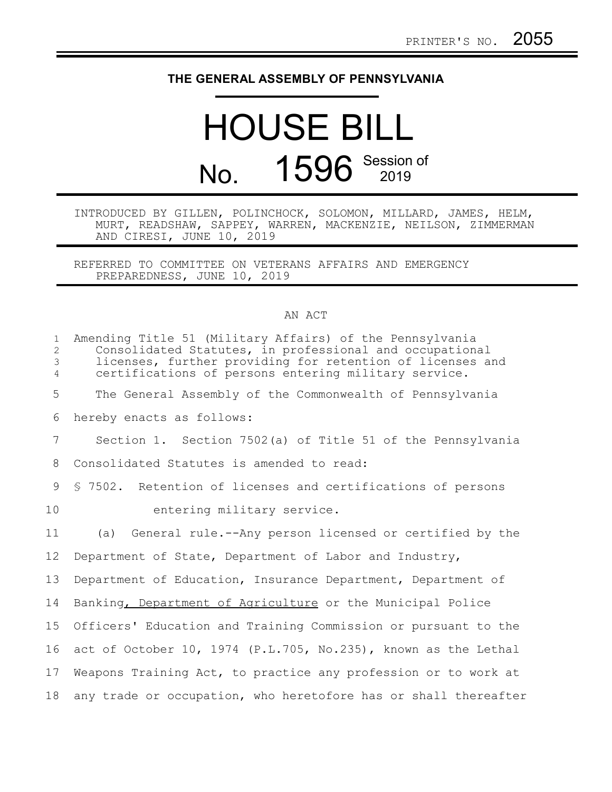## **THE GENERAL ASSEMBLY OF PENNSYLVANIA**

## HOUSE BILL No. 1596 Session of

INTRODUCED BY GILLEN, POLINCHOCK, SOLOMON, MILLARD, JAMES, HELM, MURT, READSHAW, SAPPEY, WARREN, MACKENZIE, NEILSON, ZIMMERMAN AND CIRESI, JUNE 10, 2019

REFERRED TO COMMITTEE ON VETERANS AFFAIRS AND EMERGENCY PREPAREDNESS, JUNE 10, 2019

## AN ACT

| $\mathbf{1}$<br>$\overline{c}$<br>$\mathfrak{Z}$<br>$\overline{4}$ | Amending Title 51 (Military Affairs) of the Pennsylvania<br>Consolidated Statutes, in professional and occupational<br>licenses, further providing for retention of licenses and<br>certifications of persons entering military service. |
|--------------------------------------------------------------------|------------------------------------------------------------------------------------------------------------------------------------------------------------------------------------------------------------------------------------------|
| 5                                                                  | The General Assembly of the Commonwealth of Pennsylvania                                                                                                                                                                                 |
| 6                                                                  | hereby enacts as follows:                                                                                                                                                                                                                |
| $\overline{7}$                                                     | Section 1. Section 7502(a) of Title 51 of the Pennsylvania                                                                                                                                                                               |
| 8                                                                  | Consolidated Statutes is amended to read:                                                                                                                                                                                                |
| 9                                                                  | § 7502. Retention of licenses and certifications of persons                                                                                                                                                                              |
| 10                                                                 | entering military service.                                                                                                                                                                                                               |
| 11                                                                 | (a) General rule.--Any person licensed or certified by the                                                                                                                                                                               |
| $12 \overline{ }$                                                  | Department of State, Department of Labor and Industry,                                                                                                                                                                                   |
| 13                                                                 | Department of Education, Insurance Department, Department of                                                                                                                                                                             |
| 14                                                                 | Banking, Department of Agriculture or the Municipal Police                                                                                                                                                                               |
| 15                                                                 | Officers' Education and Training Commission or pursuant to the                                                                                                                                                                           |
| 16                                                                 | act of October 10, 1974 (P.L.705, No.235), known as the Lethal                                                                                                                                                                           |
| 17                                                                 | Weapons Training Act, to practice any profession or to work at                                                                                                                                                                           |
| 18                                                                 | any trade or occupation, who heretofore has or shall thereafter                                                                                                                                                                          |